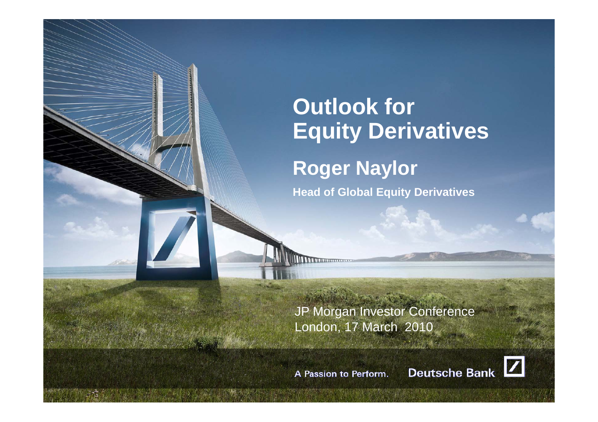# **Outlook for Equity Derivatives R Nl oger Naylor Head of Global Equity Derivatives**

JP Morgan Investor Conference London, 17 March 2010

A Passion to Perform.

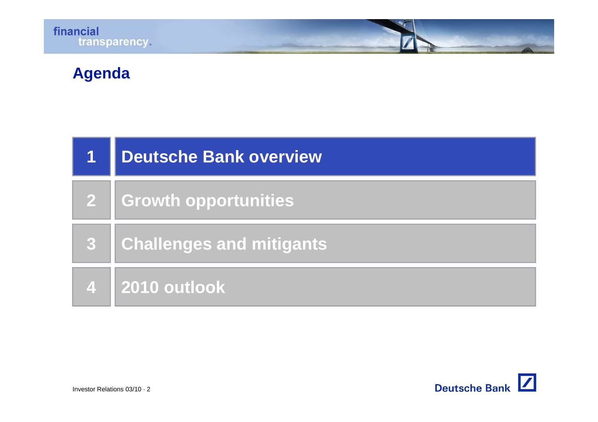

# **Agenda**

| <b>Deutsche Bank overview</b> |
|-------------------------------|
| 2   Growth opportunities      |
| Challenges and mitigants      |
| 4 2010 outlook                |

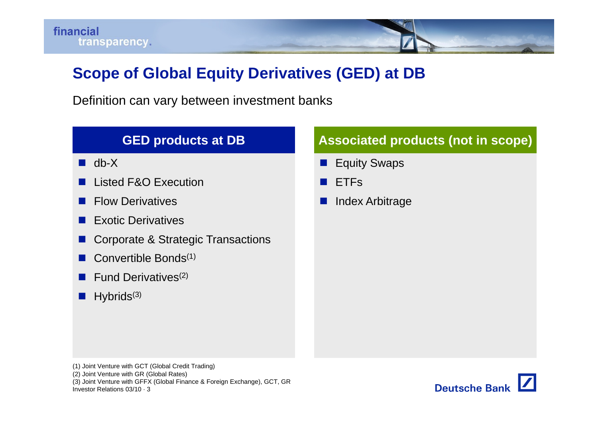# **Scope of Global Equity Derivatives (GED) at DB**

Definition can vary between investment banks

#### **GED products at DB Associated products (not in scope)**  $\blacksquare$  db-X a a s **Equity Swaps**  $\mathbb{R}^3$  Listed F&O Execution Flow Derivatives T. **ETFs**  Index Arbitrage Exotic Derivatives Corporate & Strategic Transactions a a s Convertible Bonds $(1)$  $\mathbb{R}^2$  Fund Derivatives(2) . Hybrids<sup>(3)</sup>

(1) Joint Venture with GCT (Global Credit Trading)

(2) Joint Venture with GR (Global Rates)

(3) Joint Venture with GFFX (Global Finance & Foreign Exchange), GCT, GR

Investor Relations 03/10 · 3

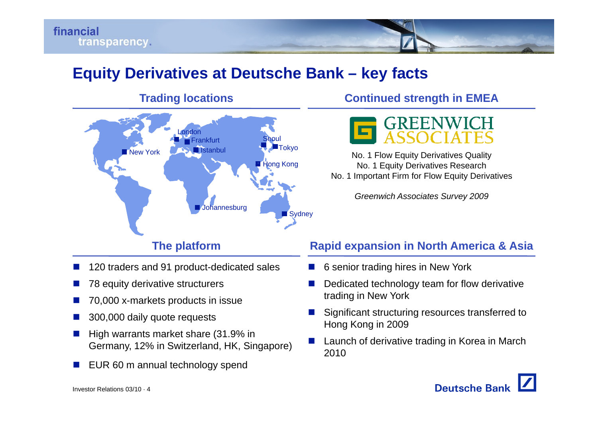# **Equity Derivatives at Deutsche Bank – key facts**



#### Π 120 traders and 91 product-dedicated sales

- F 78 equity derivative structurers
- Π 70,000 x-markets products in issue
- Π 300,000 daily quote requests
- Π High warrants market share (31.9% in Germany, 12% in Switzerland, HK, Singapore)
- Π EUR 60 m annual technology spend

#### **Trading locations Continued strength in EMEA**



No. 1 Flow Equity Derivatives Quality g Kong **NO. 1 Equity Derivatives Research** No. 1 Important Firm for Flow Equity Derivatives

*Greenwich Associates Survey 2009*

#### **The platform Rapid expansion in North America & Asia**

- × 6 senior trading hires in New York
- ×. Dedicated technology team for flow derivative trading in New York
- × Significant structuring resources transferred to Hong Kong in 2009
- m. Launch of derivative trading in Korea in March 2010

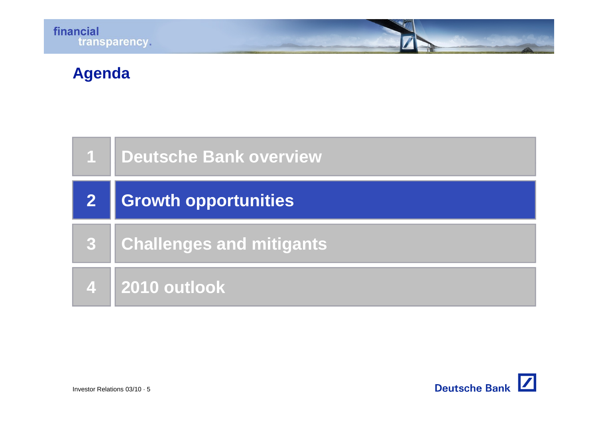# **Agenda**

|   | 1 Deutsche Bank overview    |
|---|-----------------------------|
| 2 | <b>Growth opportunities</b> |
| 3 | Challenges and mitigants    |
|   | 4 2010 outlook              |

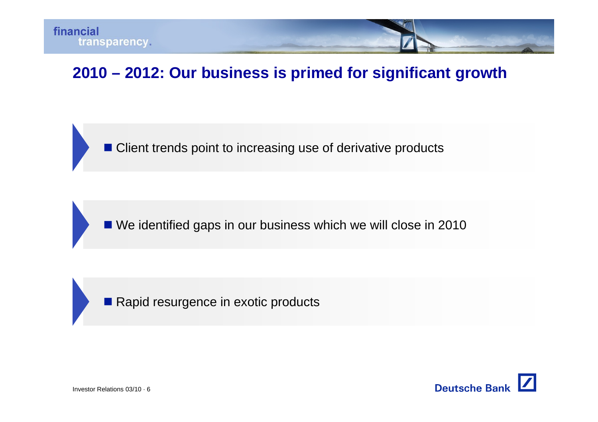

# 2010 – 2012: Our business is primed for significant growth

■ Client trends point to increasing use of derivative products

■ We identified gaps in our business which we will close in 2010

 $\blacksquare$  Rapid resurgence in exotic products

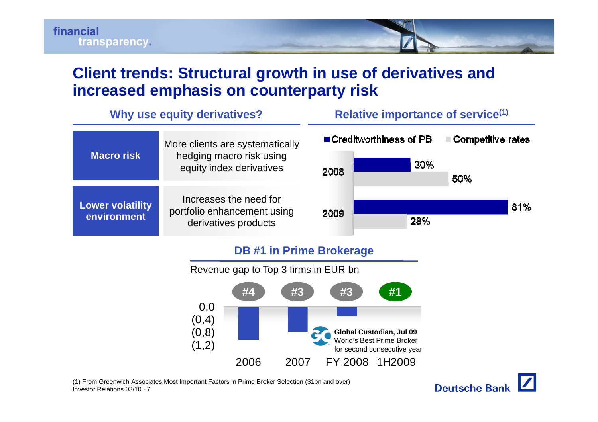

#### **Client trends: Structural growth in use of derivatives and increased emphasis on counterparty risk**

| Why use equity derivatives?            |                                                                                         | Relative importance of service <sup>(1)</sup> |                                              |                          |     |
|----------------------------------------|-----------------------------------------------------------------------------------------|-----------------------------------------------|----------------------------------------------|--------------------------|-----|
| <b>Macro risk</b>                      | More clients are systematically<br>hedging macro risk using<br>equity index derivatives | 2008                                          | $\blacksquare$ Creditworthiness of PB<br>30% | Competitive rates<br>50% |     |
| <b>Lower volatility</b><br>environment | Increases the need for<br>portfolio enhancement using<br>derivatives products           | 2009                                          | 28%                                          |                          | 81% |
|                                        | <b>BBULLER LOOKER LOOKER</b>                                                            |                                               |                                              |                          |     |

#### **DB #1 in Prime Brokerage**



(1) From Greenwich Associates Most Important Factors in Prime Broker Selection (\$1bn and over)

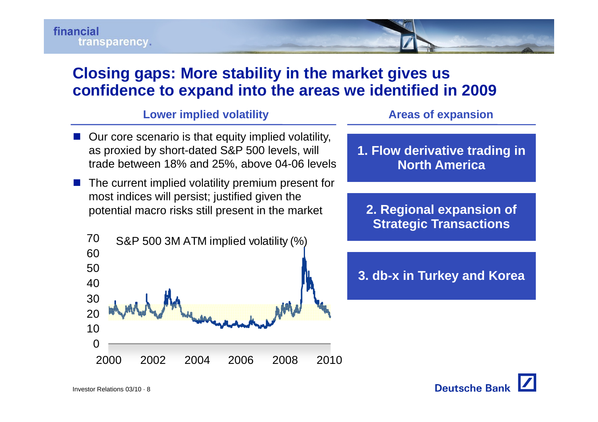

#### **Closing gaps: More stability in the market gives us confidence to expand into the areas we identified in 2009**

#### **Lower implied volatility Areas of expansion of**

- **Our core scenario is that equity implied volatility,** as proxied by short-dated S&P 500 levels, will trade between 18% and 25% above 04 06 levels 25%, 04-06
- <u>ra</u> The current implied volatility premium present for most indices will persist; justified given the potential macro risks still present in the market





- 
- **2 Regional expansion of 2. Strategic Transactions**

**3. db-x in Turkey and Korea**

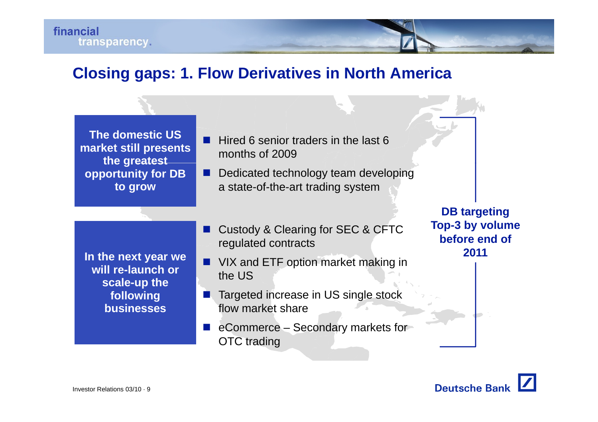

#### **Closing gaps: 1. Flow Derivatives in North America**

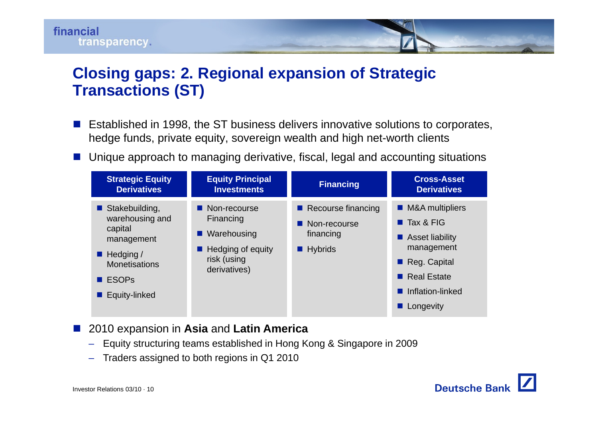

### **Closing gaps: 2. Regional expansion of Strategic Transactions (ST)**

- þ. Established in 1998, the ST business delivers innovative solutions to corporates, hedge funds, private equity, sovereign wealth and high net-worth clients
- þ. ■ Unique approach to managing derivative, fiscal, legal and accounting situations



#### <u>ra</u> 2010 expansion in **Asia** and **Latin America**

- Equity structuring teams established in Hong Kong & Singapore in 2009
- Traders assigned to both regions in Q1 2010

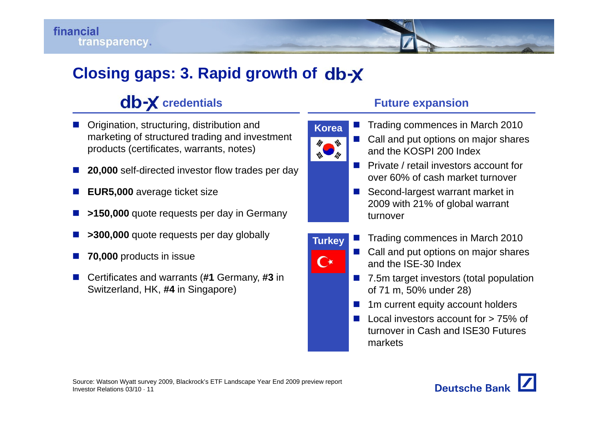# **Closing gaps: 3. Rapid growth o f**

# **clb-X** credentials

- П Origination, structuring, distribution and marketing of structured trading and investment products (certificates, warrants, notes)
- p. **20,000** self-directed investor flow trades per day
- П **EUR5,000** average ticket size
- П  $\blacksquare$  **>150,000** quote requests per day in Germany
- p. **>300,000** quote requests per day globally
- П **70,000** products in issue
- Certificates and warrants (#1 Germany, #3 in Switzerland, HK, **#4** in Singapore)



**Korea**

₩

**Turkey**

 $\overline{\mathbf{C}}$ 

- Π Trading commences in March 2010
- Π Call and put options on major shares and the KOSPI 200 Index
- **P** Private / retail investors account for over 60% of cash market turnover
- $\mathcal{L}_{\text{max}}$  Second-largest warrant market in 2009 with 21% of global warrant turnover
- Π Trading commences in March 2010
- Call and put options on major shares and the ISE-30 Index
- 7.5m target investors (total population of 71 m, 50% under 28)
- $\mathcal{L}_{\mathcal{A}}$ 1m current equity account holders
- $\sim$  Local investors account for > 75% of turnover in Cash and ISE30 Futures markets

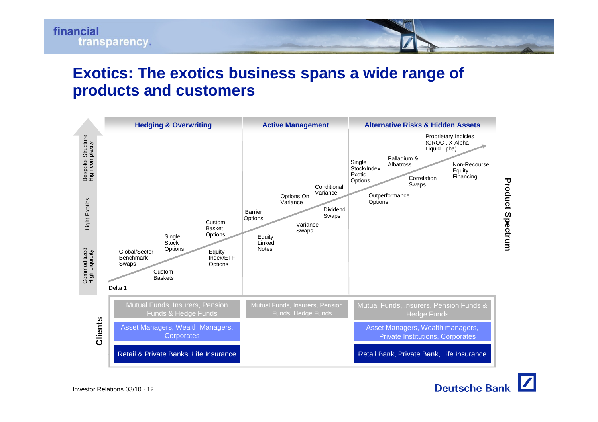#### **Exotics: The exotics business spans a wide range of products and customers**



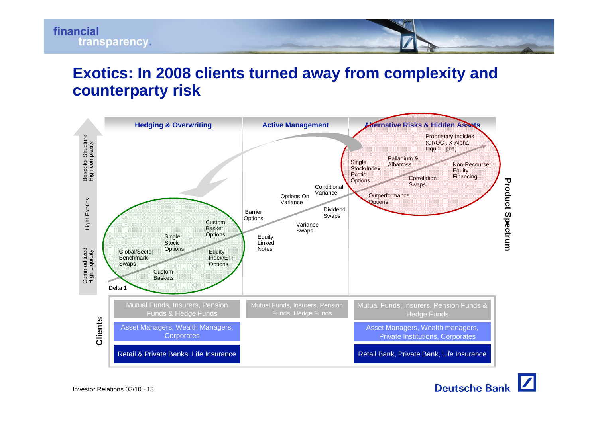#### **Exotics: In 2008 clients turned away from complexity and counterparty risk**

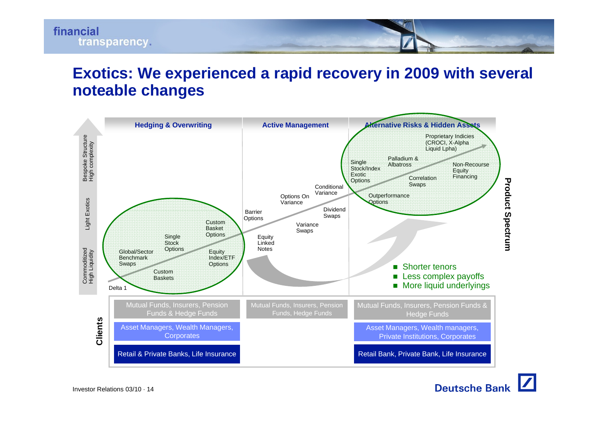#### **Exotics: We experienced a rapid recovery in 2009 with several noteable changes**

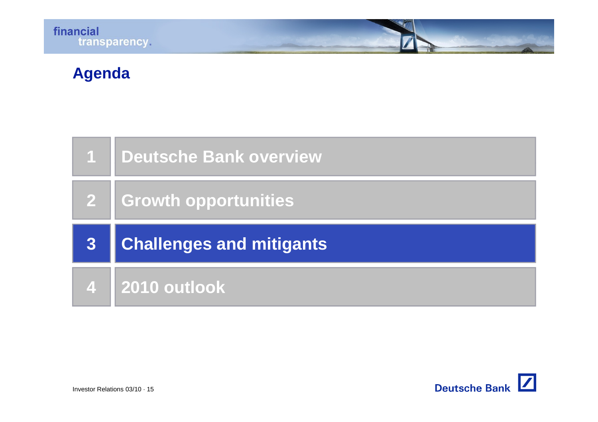# **Agenda**

|                | 1   Deutsche Bank overview      |
|----------------|---------------------------------|
|                | 2   Growth opportunities        |
|                |                                 |
| 3 <sup>°</sup> | <b>Challenges and mitigants</b> |

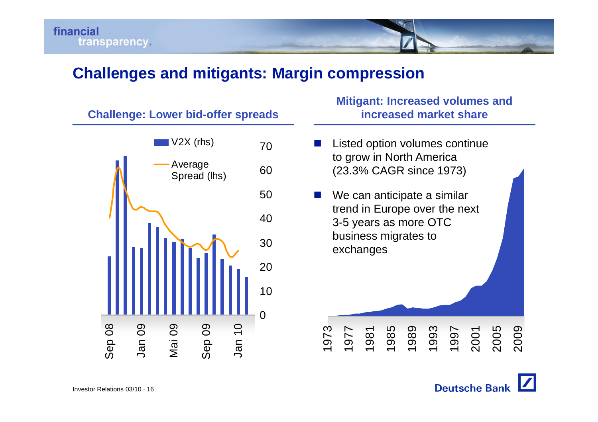#### **Challenges and mitigants: Margin compression**

**Challenge: Lower bid bid-offer spreads offer increased market share**



# **Mitigant: Increased volumes and**

- þ. Listed option volumes continue to grow in North America g (23.3% CAGR since 1973)
- **Tale**  We can anticipate a similar trend in Europe over the next 3-5 years as more OTC business migrates to exchanges

1973

1977

1981

1985

1989

1993

1997



2001

2005

2009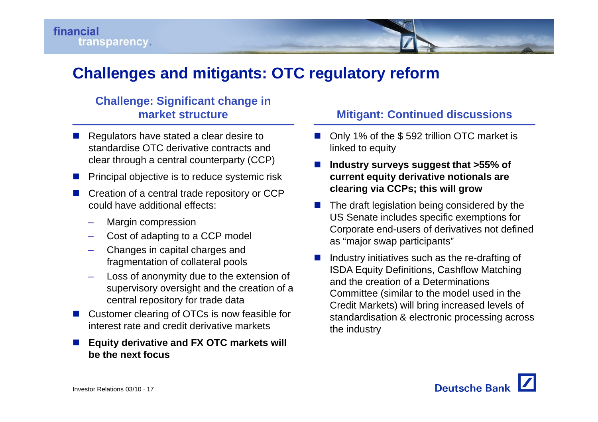

### **Challenges and mitigants: OTC regulatory reform**

#### **Challenge: Significant change in market structure**

- $\blacksquare$  Regulators have stated a clear desire to standardise OTC derivative contracts and clear through a central counterparty (CCP)
- Π Principal objective is to reduce systemic risk
- Π Creation of a central trade repository or CCP could have additional effects:
	- –Margin compression
	- Cost of adapting to a CCP model
	- – Changes in capital charges and fragmentation of collateral pool
	- Loss of anonymity due to the extension of supervisory oversight and the creation of a central repository for trade data
- Π Customer clearing of OTCs is now feasible for interest rate and credit derivative markets
- Π **Equity derivative and FX OTC markets will be the next focus**

#### **Mitigant: Continued discussions**

- Only 1% of the \$592 trillion OTC market is linked to equity
- П  $\blacksquare$  Industry surveys suggest that >55% of **current equity derivative notionals are clearing via CCPs; this will grow**
	- П The draft legislation being considered by the US Senate includes specific exemptions for Corporate end-users of derivatives not defined as "major swap participants"
- П fragmentation of collateral pools ■ Industry initiatives such as the re-drafting of ISDA Equity Definitions, Cashflow Matching and the creation of a Determinations Committee (similar to the model used in the Credit Markets) will bring increased levels of standardisation & electronic processing across the industry

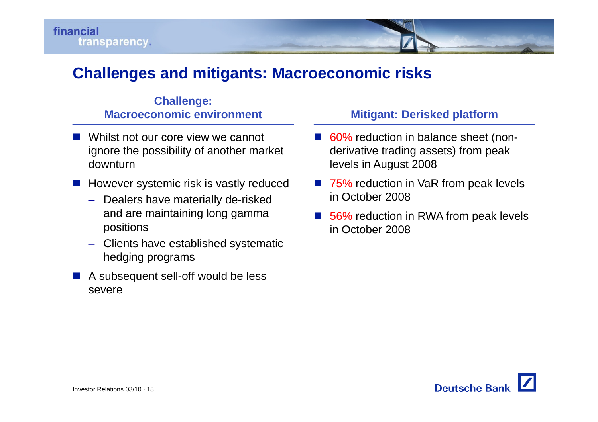#### **Challenges and mitigants: Macroeconomic risks**

#### **Challenge: Macroeconomic environment**

- Whilst not our core view we cannot ignore the possibility of another market downturnlevels in August 2008
- p. However systemic risk is vastly reduced
	- Dealers have materially de-risked and are maintaining long gamma positions
	- Clients have established systematic hedging programs
- A subsequent sell-off would be less severe

#### **Mitigant: Derisked platform**

- 60% reduction in balance sheet (nonderivative trading assets) from peak
- 75% reduction in VaR from peak levels in October 2008
- $\mathcal{L}^{\text{max}}$ ■ 56% reduction in RWA from peak levels in October 2008

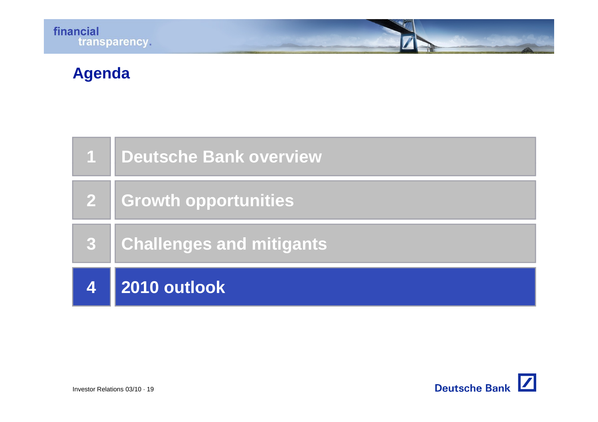# **Agenda**

|   | 1 Deutsche Bank overview        |
|---|---------------------------------|
|   | 2   Growth opportunities        |
| 3 | <b>Challenges and mitigants</b> |
|   | 2010 outlook                    |

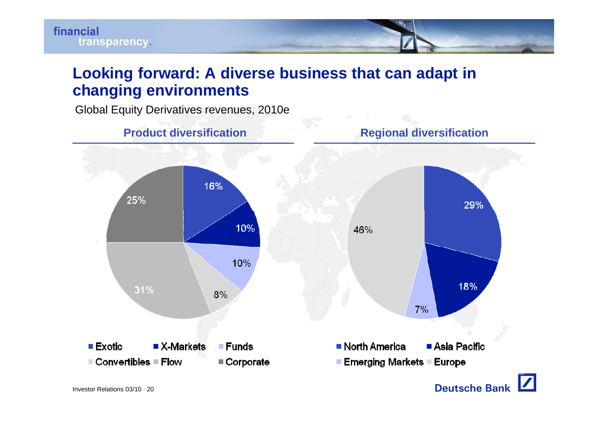

### **Looking forward: A diverse business that can adapt in changing environments**

Global Equity Derivatives revenues, 2010e

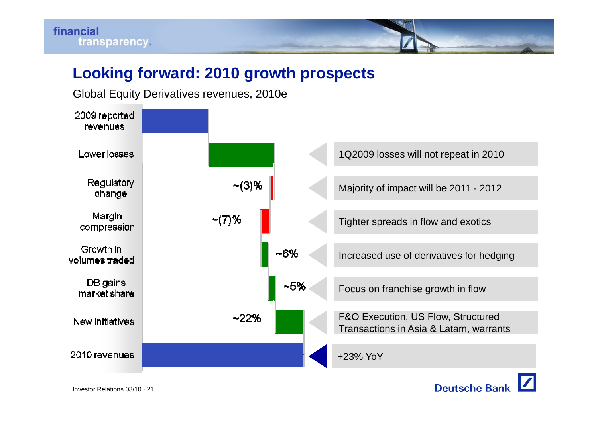### **Looking forward: 2010 growth prospects**



Global Equity Derivatives revenues, 2010e

Investor Relations 03/10 · 21

**Deutsche Bank**